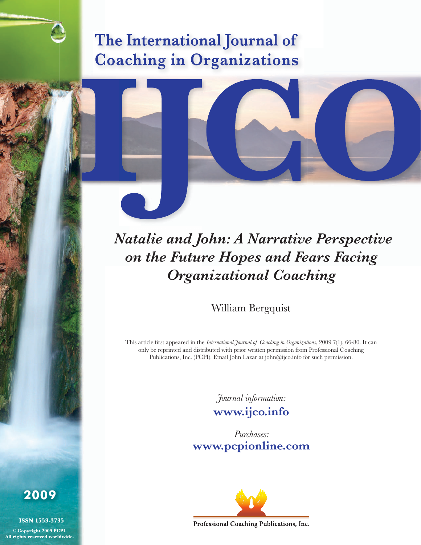# The International Journal of **Coaching in Organizations**

 *Natalie and John: A Narrative Perspective on the Future Hopes and Fears Facing Organizational Coaching*

William Bergquist

This article first appeared in the *International Journal of Coaching in Organizations*, 2009 7(1), 66-80. It can only be reprinted and distributed with prior written permission from Professional Coaching Publications, Inc. (PCPI). Email John Lazar at john@ijco.info for such permission.

*Journal information:*

**www.ijco.info** 

*Purchases:* **www.pcpionline.com** 



Professional Coaching Publications, Inc.

**2009**

**ISSN 1553-3735 © Copyright 2009 PCPI. All rights reserved worldwide.**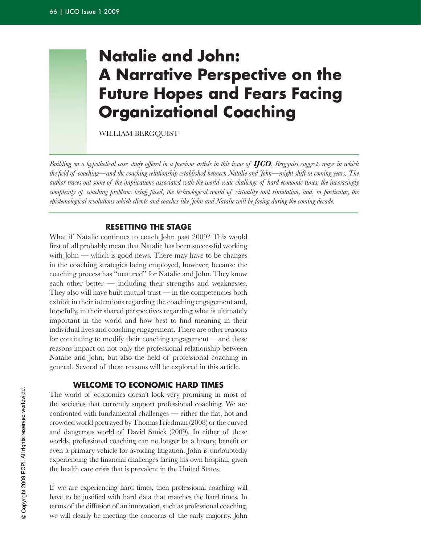# **natalie and John: A Narrative Perspective on the Future Hopes and Fears Facing organizational coaching**

WILLIAM BERGQUIST

*Building on a hypothetical case study offered in a previous article in this issue of IJCO, Bergquist suggests ways in which the field of coaching—and the coaching relationship established between Natalie and John—might shift in coming years. The author traces out some of the implications associated with the world-wide challenge of hard economic times, the increasingly*  complexity of coaching problems being faced, the technological world of virtuality and simulation, and, in particular, the *epistemological revolutions which clients and coaches like John and Natalie will be facing during the coming decade.*

# **rEsEttInG tHE staGE**

What if Natalie continues to coach John past 2009? This would first of all probably mean that Natalie has been successful working with  $John$ — which is good news. There may have to be changes in the coaching strategies being employed, however, because the coaching process has "matured" for Natalie and John. They know each other better  $-$  including their strengths and weaknesses. They also will have built mutual trust  $\frac{1}{\pi}$  in the competencies both exhibit in their intentions regarding the coaching engagement and, hopefully, in their shared perspectives regarding what is ultimately important in the world and how best to find meaning in their individual lives and coaching engagement. There are other reasons for continuing to modify their coaching engagement —and these reasons impact on not only the professional relationship between Natalie and John, but also the field of professional coaching in general. Several of these reasons will be explored in this article.

## **WElcoME to EconoMIc Hard tIMEs**

The world of economics doesn't look very promising in most of the societies that currently support professional coaching. We are confronted with fundamental challenges — either the flat, hot and crowded world portrayed by Thomas Friedman (2008) or the curved and dangerous world of David Smick (2009). In either of these worlds, professional coaching can no longer be a luxury, benefit or even a primary vehicle for avoiding litigation. John is undoubtedly experiencing the financial challenges facing his own hospital, given the health care crisis that is prevalent in the United States.

If we are experiencing hard times, then professional coaching will have to be justified with hard data that matches the hard times. In terms of the diffusion of an innovation, such as professional coaching, we will clearly be meeting the concerns of the early majority. John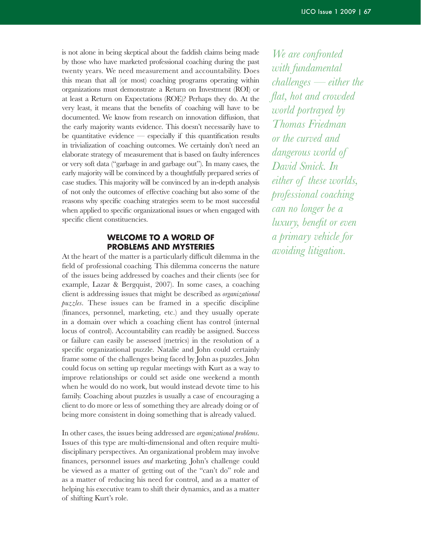is not alone in being skeptical about the faddish claims being made by those who have marketed professional coaching during the past twenty years. We need measurement and accountability. Does this mean that all (or most) coaching programs operating within organizations must demonstrate a Return on Investment (ROI) or at least a Return on Expectations (ROE)? Perhaps they do. At the very least, it means that the benefits of coaching will have to be documented. We know from research on innovation diffusion, that the early majority wants evidence. This doesn't necessarily have to be quantitative evidence  $-$  especially if this quantification results in trivialization of coaching outcomes. We certainly don't need an elaborate strategy of measurement that is based on faulty inferences or very soft data ("garbage in and garbage out"). In many cases, the early majority will be convinced by a thoughtfully prepared series of case studies. This majority will be convinced by an in-depth analysis of not only the outcomes of effective coaching but also some of the reasons why specific coaching strategies seem to be most successful when applied to specific organizational issues or when engaged with specific client constituencies.

# **WElcoME to a World oF ProBlEMs and MYstErIEs**

At the heart of the matter is a particularly difficult dilemma in the field of professional coaching. This dilemma concerns the nature of the issues being addressed by coaches and their clients (see for example, Lazar & Bergquist, 2007). In some cases, a coaching client is addressing issues that might be described as *organizational puzzles*. These issues can be framed in a specific discipline (finances, personnel, marketing, etc.) and they usually operate in a domain over which a coaching client has control (internal locus of control). Accountability can readily be assigned. Success or failure can easily be assessed (metrics) in the resolution of a specific organizational puzzle. Natalie and John could certainly frame some of the challenges being faced by John as puzzles. John could focus on setting up regular meetings with Kurt as a way to improve relationships or could set aside one weekend a month when he would do no work, but would instead devote time to his family. Coaching about puzzles is usually a case of encouraging a client to do more or less of something they are already doing or of being more consistent in doing something that is already valued.

In other cases, the issues being addressed are *organizational problems*. Issues of this type are multi-dimensional and often require multidisciplinary perspectives. An organizational problem may involve finances, personnel issues *and* marketing. John's challenge could be viewed as a matter of getting out of the "can't do" role and as a matter of reducing his need for control, and as a matter of helping his executive team to shift their dynamics, and as a matter of shifting Kurt's role.

*We are confronted with fundamental challenges — either the flat, hot and crowded world portrayed by Thomas Friedman or the curved and dangerous world of David Smick. In either of these worlds, professional coaching can no longer be a luxury, benefit or even a primary vehicle for avoiding litigation.*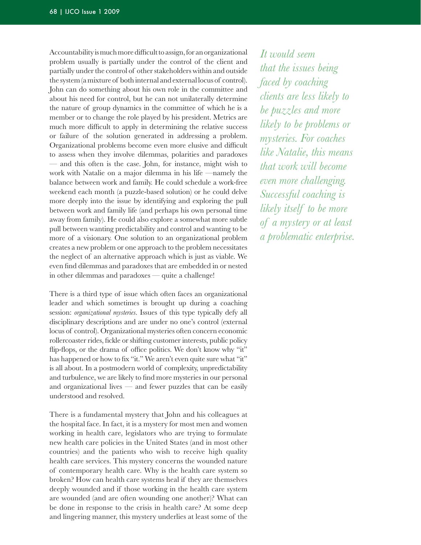Accountability is much more difficult to assign, for an organizational problem usually is partially under the control of the client and partially under the control of other stakeholders within and outside the system (a mixture of both internal and external locus of control). John can do something about his own role in the committee and about his need for control, but he can not unilaterally determine the nature of group dynamics in the committee of which he is a member or to change the role played by his president. Metrics are much more difficult to apply in determining the relative success or failure of the solution generated in addressing a problem. Organizational problems become even more elusive and difficult to assess when they involve dilemmas, polarities and paradoxes — and this often is the case. John, for instance, might wish to work with Natalie on a major dilemma in his life —namely the balance between work and family. He could schedule a work-free weekend each month (a puzzle-based solution) or he could delve more deeply into the issue by identifying and exploring the pull between work and family life (and perhaps his own personal time away from family). He could also explore a somewhat more subtle pull between wanting predictability and control and wanting to be more of a visionary. One solution to an organizational problem creates a new problem or one approach to the problem necessitates the neglect of an alternative approach which is just as viable. We even find dilemmas and paradoxes that are embedded in or nested in other dilemmas and paradoxes — quite a challenge!

There is a third type of issue which often faces an organizational leader and which sometimes is brought up during a coaching session: *organizational mysteries*. Issues of this type typically defy all disciplinary descriptions and are under no one's control (external locus of control). Organizational mysteries often concern economic rollercoaster rides, fickle or shifting customer interests, public policy flip-flops, or the drama of office politics. We don't know why "it" has happened or how to fix "it." We aren't even quite sure what "it" is all about. In a postmodern world of complexity, unpredictability and turbulence, we are likely to find more mysteries in our personal and organizational lives  $-$  and fewer puzzles that can be easily understood and resolved.

There is a fundamental mystery that John and his colleagues at the hospital face. In fact, it is a mystery for most men and women working in health care, legislators who are trying to formulate new health care policies in the United States (and in most other countries) and the patients who wish to receive high quality health care services. This mystery concerns the wounded nature of contemporary health care. Why is the health care system so broken? How can health care systems heal if they are themselves deeply wounded and if those working in the health care system are wounded (and are often wounding one another)? What can be done in response to the crisis in health care? At some deep and lingering manner, this mystery underlies at least some of the

*It would seem that the issues being faced by coaching clients are less likely to be puzzles and more likely to be problems or mysteries. For coaches like Natalie, this means that work will become even more challenging. Successful coaching is likely itself to be more of a mystery or at least a problematic enterprise.*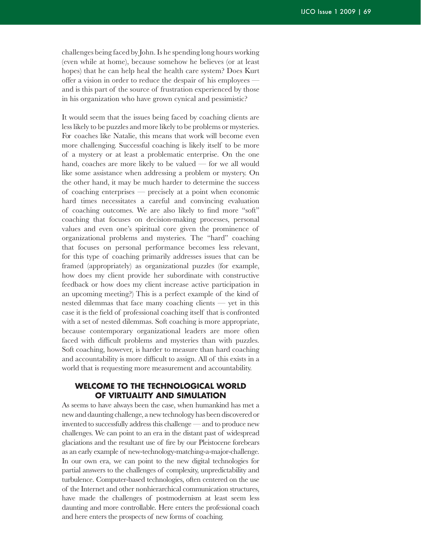challenges being faced by John.Is he spending long hours working (even while at home), because somehow he believes (or at least hopes) that he can help heal the health care system? Does Kurt offer a vision in order to reduce the despair of his employees and is this part of the source of frustration experienced by those in his organization who have grown cynical and pessimistic?

It would seem that the issues being faced by coaching clients are less likely to be puzzles and more likely to be problems or mysteries. For coaches like Natalie, this means that work will become even more challenging. Successful coaching is likely itself to be more of a mystery or at least a problematic enterprise. On the one hand, coaches are more likely to be valued  $-$  for we all would like some assistance when addressing a problem or mystery. On the other hand, it may be much harder to determine the success of coaching enterprises — precisely at a point when economic hard times necessitates a careful and convincing evaluation of coaching outcomes. We are also likely to find more "soft" coaching that focuses on decision-making processes, personal values and even one's spiritual core given the prominence of organizational problems and mysteries. The "hard" coaching that focuses on personal performance becomes less relevant, for this type of coaching primarily addresses issues that can be framed (appropriately) as organizational puzzles (for example, how does my client provide her subordinate with constructive feedback or how does my client increase active participation in an upcoming meeting?) This is a perfect example of the kind of nested dilemmas that face many coaching clients  $-$  yet in this case it is the field of professional coaching itself that is confronted with a set of nested dilemmas. Soft coaching is more appropriate, because contemporary organizational leaders are more often faced with difficult problems and mysteries than with puzzles. Soft coaching, however, is harder to measure than hard coaching and accountability is more difficult to assign. All of this exists in a world that is requesting more measurement and accountability.

# **WElcoME to tHE tEcHnoloGIcal World oF vIrtualItY and sIMulatIon**

As seems to have always been the case, when humankind has met a new and daunting challenge, a new technology has been discovered or invented to successfully address this challenge — and to produce new challenges. We can point to an era in the distant past of widespread glaciations and the resultant use of fire by our Pleistocene forebears as an early example of new-technology-matching-a-major-challenge. In our own era, we can point to the new digital technologies for partial answers to the challenges of complexity, unpredictability and turbulence. Computer-based technologies, often centered on the use of the Internet and other nonhierarchical communication structures, have made the challenges of postmodernism at least seem less daunting and more controllable. Here enters the professional coach and here enters the prospects of new forms of coaching.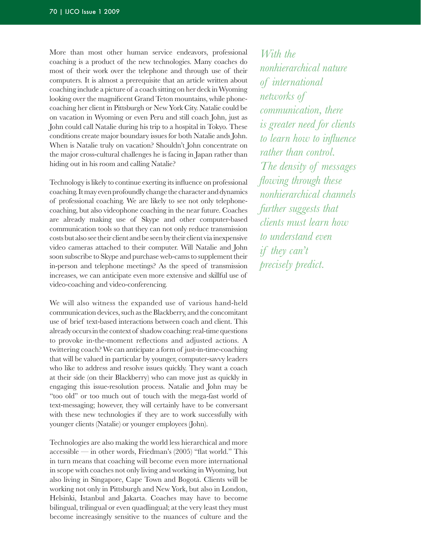More than most other human service endeavors, professional coaching is a product of the new technologies. Many coaches do most of their work over the telephone and through use of their computers. It is almost a prerequisite that an article written about coaching include a picture of a coach sitting on her deck in Wyoming looking over the magnificent Grand Teton mountains, while phonecoaching her client in Pittsburgh or New York City. Natalie could be on vacation in Wyoming or even Peru and still coach John, just as John could call Natalie during his trip to a hospital in Tokyo. These conditions create major boundary issues for both Natalie ands John. When is Natalie truly on vacation? Shouldn't John concentrate on the major cross-cultural challenges he is facing in Japan rather than hiding out in his room and calling Natalie?

Technology is likely to continue exerting its influence on professional coaching.Itmay evenprofoundly change the character anddynamics of professional coaching. We are likely to see not only telephonecoaching, but also videophone coaching in the near future. Coaches are already making use of Skype and other computer-based communication tools so that they can not only reduce transmission costsbut also see their client andbe seenby their client via inexpensive video cameras attached to their computer. Will Natalie and John soon subscribe to Skype and purchase web-cams to supplement their in-person and telephone meetings? As the speed of transmission increases, we can anticipate even more extensive and skillful use of video-coaching and video-conferencing.

We will also witness the expanded use of various hand-held communication devices, such as the Blackberry, and the concomitant use of brief text-based interactions between coach and client. This already occurs in the context of shadow coaching: real-time questions to provoke in-the-moment reflections and adjusted actions. A twittering coach? We can anticipate a form of just-in-time-coaching that will be valued in particular by younger, computer-savvy leaders who like to address and resolve issues quickly. They want a coach at their side (on their Blackberry) who can move just as quickly in engaging this issue-resolution process. Natalie and John may be "too old" or too much out of touch with the mega-fast world of text-messaging; however, they will certainly have to be conversant with these new technologies if they are to work successfully with younger clients (Natalie) or younger employees (John).

Technologies are also making the world less hierarchical and more accessible — in other words, Friedman's  $(2005)$  "flat world." This in turn means that coaching will become even more international in scope with coaches not only living and working in Wyoming, but also living in Singapore, Cape Town and Bogotá. Clients will be working not only in Pittsburgh and New York, but also in London, Helsinki, Istanbul and Jakarta. Coaches may have to become bilingual, trilingual or even quadlingual; at the very least they must become increasingly sensitive to the nuances of culture and the

*With the nonhierarchical nature of international networks of communication, there is greater need for clients to learn how to influence rather than control. The density of messages flowing through these nonhierarchical channels further suggests that clients must learn how to understand even if they can't precisely predict.*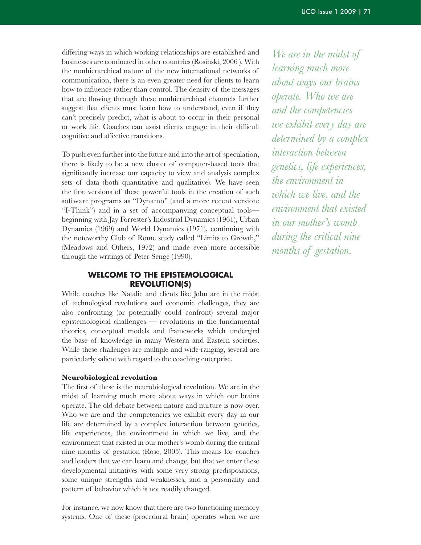differing ways in which working relationships are established and businesses are conducted in other countries (Rosinski, 2006). With the nonhierarchical nature of the new international networks of communication, there is an even greater need for clients to learn how to influence rather than control. The density of the messages that are flowing through these nonhierarchical channels further suggest that clients must learn how to understand, even if they can't precisely predict, what is about to occur in their personal or work life. Coaches can assist clients engage in their difficult cognitive and affective transitions.

To push even further into the future and into the art of speculation, there is likely to be a new cluster of computer-based tools that significantly increase our capacity to view and analysis complex sets of data (both quantitative and qualitative). We have seen the first versions of these powerful tools in the creation of such software programs as "Dynamo" (and a more recent version: "I-Think") and in a set of accompanying conceptual tools beginning with Jay Forrester's Industrial Dynamics (1961), Urban Dynamics (1969) and World Dynamics (1971), continuing with the noteworthy Club of Rome study called "Limits to Growth," (Meadows and Others, 1972) and made even more accessible through the writings of Peter Senge (1990).

# **WElcoME to tHE EPIstEMoloGIcal rEvolutIon(s)**

While coaches like Natalie and clients like John are in the midst of technological revolutions and economic challenges, they are also confronting (or potentially could confront) several major  $epistemological$  challenges  $-$  revolutions in the fundamental theories, conceptual models and frameworks which undergird the base of knowledge in many Western and Eastern societies. While these challenges are multiple and wide-ranging, several are particularly salient with regard to the coaching enterprise.

#### **Neurobiological revolution**

The first of these is the neurobiological revolution. We are in the midst of learning much more about ways in which our brains operate. The old debate between nature and nurture is now over. Who we are and the competencies we exhibit every day in our life are determined by a complex interaction between genetics, life experiences, the environment in which we live, and the environment that existed in our mother's womb during the critical nine months of gestation (Rose, 2005). This means for coaches and leaders that we can learn and change, but that we enter these developmental initiatives with some very strong predispositions, some unique strengths and weaknesses, and a personality and pattern of behavior which is not readily changed.

For instance, we now know that there are two functioning memory systems. One of these (procedural brain) operates when we are

*We are in the midst of learning much more about ways our brains operate. Who we are and the competencies we exhibit every day are determined by a complex interaction between genetics, life experiences, the environment in which we live, and the environment that existed in our mother's womb during the critical nine months of gestation.*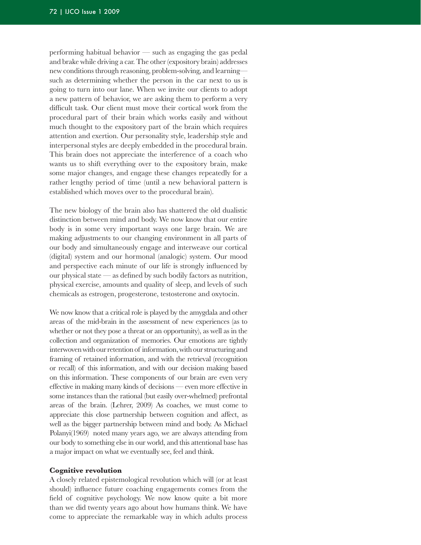performing habitual behavior  $-$  such as engaging the gas pedal and brake while driving a car. The other (expository brain) addresses new conditions through reasoning, problem-solving, and learning such as determining whether the person in the car next to us is going to turn into our lane. When we invite our clients to adopt a new pattern of behavior, we are asking them to perform a very difficult task. Our client must move their cortical work from the procedural part of their brain which works easily and without much thought to the expository part of the brain which requires attention and exertion. Our personality style, leadership style and interpersonal styles are deeply embedded in the procedural brain. This brain does not appreciate the interference of a coach who wants us to shift everything over to the expository brain, make some major changes, and engage these changes repeatedly for a rather lengthy period of time (until a new behavioral pattern is established which moves over to the procedural brain).

The new biology of the brain also has shattered the old dualistic distinction between mind and body. We now know that our entire body is in some very important ways one large brain. We are making adjustments to our changing environment in all parts of our body and simultaneously engage and interweave our cortical (digital) system and our hormonal (analogic) system. Our mood and perspective each minute of our life is strongly influenced by our physical state  $\sim$  as defined by such bodily factors as nutrition, physical exercise, amounts and quality of sleep, and levels of such chemicals as estrogen, progesterone, testosterone and oxytocin.

We now know that a critical role is played by the amygdala and other areas of the mid-brain in the assessment of new experiences (as to whether or not they pose a threat or an opportunity), as well as in the collection and organization of memories. Our emotions are tightly interwoven with our retention of information, with our structuring and framing of retained information, and with the retrieval (recognition or recall) of this information, and with our decision making based on this information. These components of our brain are even very effective in making many kinds of decisions — even more effective in some instances than the rational (but easily over-whelmed) prefrontal areas of the brain. (Lehrer, 2009) As coaches, we must come to appreciate this close partnership between cognition and affect, as well as the bigger partnership between mind and body. As Michael Polanyi<sup>(1969)</sup> noted many years ago, we are always attending from our body to something else in our world, and this attentional base has a major impact on what we eventually see, feel and think.

#### **Cognitive revolution**

A closely related epistemological revolution which will (or at least should) influence future coaching engagements comes from the field of cognitive psychology. We now know quite a bit more than we did twenty years ago about how humans think. We have come to appreciate the remarkable way in which adults process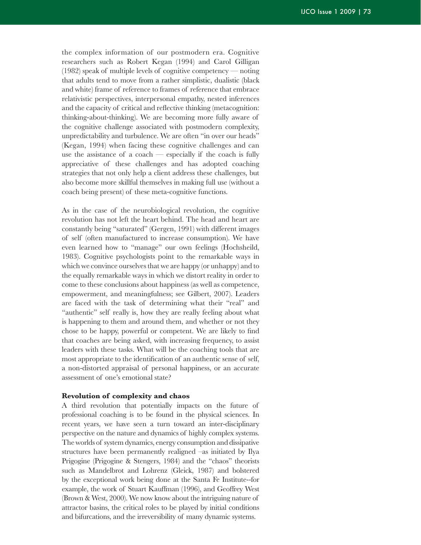the complex information of our postmodern era. Cognitive researchers such as Robert Kegan (1994) and Carol Gilligan  $(1982)$  speak of multiple levels of cognitive competency — noting that adults tend to move from a rather simplistic, dualistic (black and white) frame of reference to frames of reference that embrace relativistic perspectives, interpersonal empathy, nested inferences and the capacity of critical and reflective thinking (metacognition: thinking-about-thinking). We are becoming more fully aware of the cognitive challenge associated with postmodern complexity, unpredictability and turbulence. We are often "in over our heads" (Kegan, 1994) when facing these cognitive challenges and can use the assistance of a coach — especially if the coach is fully appreciative of these challenges and has adopted coaching strategies that not only help a client address these challenges, but also become more skillful themselves in making full use (without a coach being present) of these meta-cognitive functions.

As in the case of the neurobiological revolution, the cognitive revolution has not left the heart behind. The head and heart are constantly being "saturated" (Gergen, 1991) with different images of self (often manufactured to increase consumption). We have even learned how to "manage" our own feelings (Hochsheild, 1983). Cognitive psychologists point to the remarkable ways in which we convince ourselves that we are happy (or unhappy) and to the equally remarkable ways in which we distort reality in order to come to these conclusions about happiness (as well as competence, empowerment, and meaningfulness; see Gilbert, 2007). Leaders are faced with the task of determining what their "real" and "authentic" self really is, how they are really feeling about what is happening to them and around them, and whether or not they chose to be happy, powerful or competent. We are likely to find that coaches are being asked, with increasing frequency, to assist leaders with these tasks. What will be the coaching tools that are most appropriate to the identification of an authentic sense of self, a non-distorted appraisal of personal happiness, or an accurate assessment of one's emotional state?

#### **Revolution of complexity and chaos**

A third revolution that potentially impacts on the future of professional coaching is to be found in the physical sciences. In recent years, we have seen a turn toward an inter-disciplinary perspective on the nature and dynamics of highly complex systems. The worlds of system dynamics, energy consumption and dissipative structures have been permanently realigned –as initiated by Ilya Prigogine (Prigogine & Stengers, 1984) and the "chaos" theorists such as Mandelbrot and Lohrenz (Gleick, 1987) and bolstered by the exceptional work being done at the Santa Fe Institute--for example, the work of Stuart Kauffman (1996), and Geoffrey West (Brown & West, 2000). We now know about the intriguing nature of attractor basins, the critical roles to be played by initial conditions and bifurcations, and the irreversibility of many dynamic systems.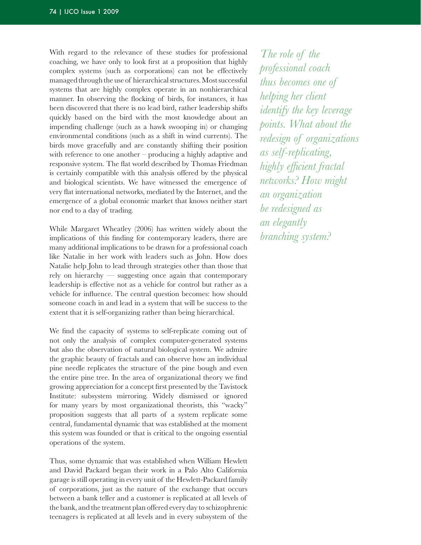With regard to the relevance of these studies for professional coaching, we have only to look first at a proposition that highly complex systems (such as corporations) can not be effectively managed through the use of hierarchical structures. Most successful systems that are highly complex operate in an nonhierarchical manner. In observing the flocking of birds, for instances, it has been discovered that there is no lead bird, rather leadership shifts quickly based on the bird with the most knowledge about an impending challenge (such as a hawk swooping in) or changing environmental conditions (such as a shift in wind currents). The birds move gracefully and are constantly shifting their position with reference to one another  $-$  producing a highly adaptive and responsive system. The flat world described by Thomas Friedman is certainly compatible with this analysis offered by the physical and biological scientists. We have witnessed the emergence of very flat international networks, mediated by the Internet, and the emergence of a global economic market that knows neither start nor end to a day of trading.

While Margaret Wheatley (2006) has written widely about the implications of this finding for contemporary leaders, there are many additional implications to be drawn for a professional coach like Natalie in her work with leaders such as John. How does Natalie help John to lead through strategies other than those that rely on hierarchy — suggesting once again that contemporary leadership is effective not as a vehicle for control but rather as a vehicle for influence. The central question becomes: how should someone coach in and lead in a system that will be success to the extent that it is self-organizing rather than being hierarchical.

We find the capacity of systems to self-replicate coming out of not only the analysis of complex computer-generated systems but also the observation of natural biological system. We admire the graphic beauty of fractals and can observe how an individual pine needle replicates the structure of the pine bough and even the entire pine tree. In the area of organizational theory we find growing appreciation for a concept first presented by the Tavistock Institute: subsystem mirroring. Widely dismissed or ignored for many years by most organizational theorists, this "wacky" proposition suggests that all parts of a system replicate some central, fundamental dynamic that was established at the moment this system was founded or that is critical to the ongoing essential operations of the system.

Thus, some dynamic that was established when William Hewlett and David Packard began their work in a Palo Alto California garage is still operating in every unit of the Hewlett-Packard family of corporations, just as the nature of the exchange that occurs between a bank teller and a customer is replicated at all levels of the bank, and the treatment plan offered every day to schizophrenic teenagers is replicated at all levels and in every subsystem of the

*The role of the professional coach thus becomes one of helping her client identify the key leverage points. What about the redesign of organizations as self-replicating, highly efficient fractal networks? How might an organization be redesigned as an elegantly branching system?*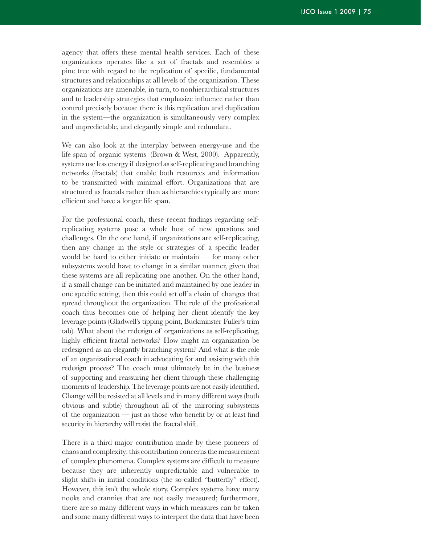agency that offers these mental health services. Each of these organizations operates like a set of fractals and resembles a pine tree with regard to the replication of specific, fundamental structures and relationships at all levels of the organization. These organizations are amenable, in turn, to nonhierarchical structures and to leadership strategies that emphasize influence rather than control precisely because there is this replication and duplication in the system—the organization is simultaneously very complex and unpredictable, and elegantly simple and redundant.

We can also look at the interplay between energy-use and the life span of organic systems (Brown & West, 2000). Apparently, systems use less energy if designed as self-replicating and branching networks (fractals) that enable both resources and information to be transmitted with minimal effort. Organizations that are structured as fractals rather than as hierarchies typically are more efficient and have a longer life span.

For the professional coach, these recent findings regarding selfreplicating systems pose a whole host of new questions and challenges. On the one hand, if organizations are self-replicating, then any change in the style or strategies of a specific leader would be hard to either initiate or maintain  $-$  for many other subsystems would have to change in a similar manner, given that these systems are all replicating one another. On the other hand, if a small change can be initiated and maintained by one leader in one specific setting, then this could set off a chain of changes that spread throughout the organization. The role of the professional coach thus becomes one of helping her client identify the key leverage points (Gladwell's tipping point, Buckminster Fuller's trim tab). What about the redesign of organizations as self-replicating, highly efficient fractal networks? How might an organization be redesigned as an elegantly branching system? And what is the role of an organizational coach in advocating for and assisting with this redesign process? The coach must ultimately be in the business of supporting and reassuring her client through these challenging moments of leadership.The leverage points are not easily identified. Change will be resisted at all levels and in many different ways (both obvious and subtle) throughout all of the mirroring subsystems of the organization — just as those who benefit by or at least find security in hierarchy will resist the fractal shift.

There is a third major contribution made by these pioneers of chaos and complexity: this contribution concerns the measurement of complex phenomena. Complex systems are difficult to measure because they are inherently unpredictable and vulnerable to slight shifts in initial conditions (the so-called "butterfly" effect). However, this isn't the whole story. Complex systems have many nooks and crannies that are not easily measured; furthermore, there are so many different ways in which measures can be taken and some many different ways to interpret the data that have been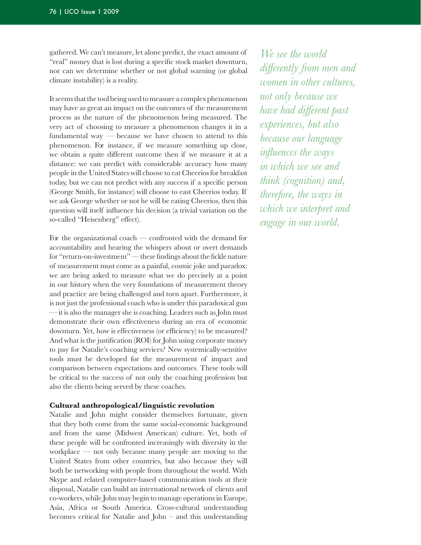gathered. We can't measure, let alone predict, the exact amount of "real" money that is lost during a specific stock market downturn, nor can we determine whether or not global warning (or global climate instability) is a reality.

It seems that the tool being used to measure a complex phenomenon may have as great an impact on the outcomes of the measurement process as the nature of the phenomenon being measured. The very act of choosing to measure a phenomenon changes it in a fundamental way  $-$  because we have chosen to attend to this phenomenon. For instance, if we measure something up close, we obtain a quite different outcome then if we measure it at a distance: we can predict with considerable accuracy how many people in the United States will choose to eat Cheerios for breakfast today, but we can not predict with any success if a specific person (George Smith, for instance) will choose to east Cheerios today. If we ask George whether or not he will be eating Cheerios, then this question will itself influence his decision (a trivial variation on the so-called "Heisenberg" effect).

For the organizational coach — confronted with the demand for accountability and hearing the whispers about or overt demands for "return-on-investment" — these findings about the fickle nature of measurement must come as a painful, cosmic joke and paradox: we are being asked to measure what we do precisely at a point in our history when the very foundations of measurement theory and practice are being challenged and torn apart. Furthermore, it is not just the professional coach who is under this paradoxical gun  $-$  it is also the manager she is coaching. Leaders such as John must demonstrate their own effectiveness during an era of economic downturn. Yet, how is effectiveness (or efficiency) to be measured? And what is the justification (ROI) for John using corporate money to pay for Natalie's coaching services? New systemically-sensitive tools must be developed for the measurement of impact and comparison between expectations and outcomes. These tools will be critical to the success of not only the coaching profession but also the clients being served by these coaches.

## **Cultural anthropological/linguistic revolution**

Natalie and John might consider themselves fortunate, given that they both come from the same social-economic background and from the same (Midwest American) culture. Yet, both of these people will be confronted increasingly with diversity in the workplace — not only because many people are moving to the United States from other countries, but also because they will both be networking with people from throughout the world. With Skype and related computer-based communication tools at their disposal, Natalie can build an international network of clients and co-workers, while John may begin to manage operations in Europe, Asia, Africa or South America. Cross-cultural understanding becomes critical for Natalie and John  $-$  and this understanding

We see the world *differently from men and women in other cultures, not only because we have had different past experiences, but also because our language influences the ways in which we see and think (cognition) and, therefore, the ways in which we interpret and engage in our world.*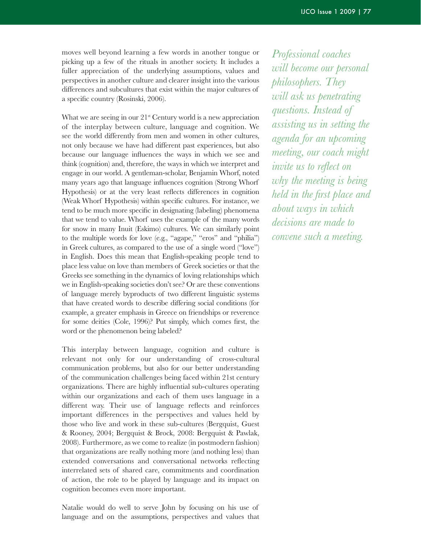moves well beyond learning a few words in another tongue or picking up a few of the rituals in another society. It includes a fuller appreciation of the underlying assumptions, values and perspectives in another culture and clearer insight into the various differences and subcultures that exist within the major cultures of a specific country (Rosinski, 2006).

What we are seeing in our  $21<sup>st</sup>$  Century world is a new appreciation of the interplay between culture, language and cognition. We see the world differently from men and women in other cultures, not only because we have had different past experiences, but also because our language influences the ways in which we see and think (cognition) and, therefore, the ways in which we interpret and engage in our world. A gentleman-scholar, Benjamin Whorf, noted many years ago that language influences cognition (Strong Whorf Hypothesis) or at the very least reflects differences in cognition (Weak Whorf Hypothesis) within specific cultures. For instance, we tend to be much more specific in designating (labeling) phenomena that we tend to value. Whorf uses the example of the many words for snow in many Inuit (Eskimo) cultures. We can similarly point to the multiple words for love (e.g., "agape," "eros" and "philia") in Greek cultures, as compared to the use of a single word ("love") in English. Does this mean that English-speaking people tend to place less value on love than members of Greek societies or that the Greeks see something in the dynamics of loving relationships which we in English-speaking societies don't see? Or are these conventions of language merely byproducts of two different linguistic systems that have created words to describe differing social conditions (for example, a greater emphasis in Greece on friendships or reverence for some deities (Cole, 1996)? Put simply, which comes first, the word or the phenomenon being labeled? 

This interplay between language, cognition and culture is relevant not only for our understanding of cross-cultural communication problems, but also for our better understanding of the communication challenges being faced within 21st century organizations. There are highly influential sub-cultures operating within our organizations and each of them uses language in a different way. Their use of language reflects and reinforces important differences in the perspectives and values held by those who live and work in these sub-cultures (Bergquist, Guest & Rooney, 2004; Bergquist & Brock, 2008: Bergquist & Pawlak, 2008). Furthermore, as we come to realize (in postmodern fashion) that organizations are really nothing more (and nothing less) than extended conversations and conversational networks reflecting interrelated sets of shared care, commitments and coordination of action, the role to be played by language and its impact on cognition becomes even more important.

Natalie would do well to serve John by focusing on his use of language and on the assumptions, perspectives and values that *Professional coaches will become our personal philosophers. They will ask us penetrating questions. Instead of assisting us in setting the agenda for an upcoming meeting, our coach might invite us to reflect on why the meeting is being held in the first place and about ways in which decisions are made to convene such a meeting.*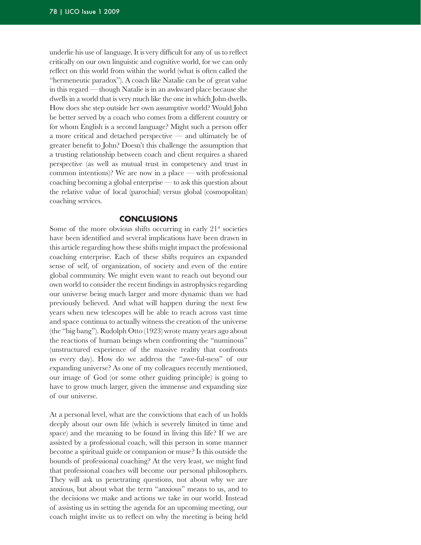underlie his use of language. It is very difficult for any of us to reflect critically on our own linguistic and cognitive world, for we can only reflect on this world from within the world (what is often called the "hermeneutic paradox"). A coach like Natalie can be of great value in this regard — though Natalie is in an awkward place because she dwells in a world that is very much like the one in which John dwells. How does she step outside her own assumptive world? Would John be better served by a coach who comes from a different country or for whom English is a second language? Might such a person offer a more critical and detached perspective  $-$  and ultimately be of greater benefit to John? Doesn't this challenge the assumption that a trusting relationship between coach and client requires a shared perspective (as well as mutual trust in competency and trust in common intentions)? We are now in a place — with professional coaching becoming a global enterprise — to ask this question about the relative value of local (parochial) versus global (cosmopolitan) coaching services.

## **conclusIons**

Some of the more obvious shifts occurring in early  $21<sup>st</sup>$  societies have been identified and several implications have been drawn in this article regarding how these shifts might impact the professional coaching enterprise. Each of these shifts requires an expanded sense of self, of organization, of society and even of the entire global community. We might even want to reach out beyond our own world to consider the recent findings in astrophysics regarding our universe being much larger and more dynamic than we had previously believed. And what will happen during the next few years when new telescopes will be able to reach across vast time and space continua to actually witness the creation of the universe (the "big bang"). Rudolph Otto  $(1923)$  wrote many years ago about the reactions of human beings when confronting the "numinous" (unstructured experience of the massive reality that confronts us every day). How do we address the "awe-ful-ness" of our expanding universe? As one of my colleagues recently mentioned, our image of God (or some other guiding principle) is going to have to grow much larger, given the immense and expanding size of our universe.

At a personal level, what are the convictions that each of us holds deeply about our own life (which is severely limited in time and space) and the meaning to be found in living this life? If we are assisted by a professional coach, will this person in some manner become a spiritual guide or companion or muse? Is this outside the bounds of professional coaching? At the very least, we might find that professional coaches will become our personal philosophers. They will ask us penetrating questions, not about why we are anxious, but about what the term "anxious" means to us, and to the decisions we make and actions we take in our world. Instead of assisting us in setting the agenda for an upcoming meeting, our coach might invite us to reflect on why the meeting is being held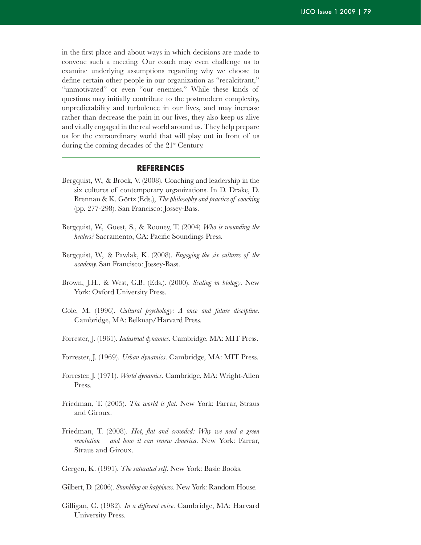in the first place and about ways in which decisions are made to convene such a meeting. Our coach may even challenge us to examine underlying assumptions regarding why we choose to define certain other people in our organization as "recalcitrant," "unmotivated" or even "our enemies." While these kinds of questions may initially contribute to the postmodern complexity, unpredictability and turbulence in our lives, and may increase rather than decrease the pain in our lives, they also keep us alive and vitally engaged in the real world around us. They help prepare us for the extraordinary world that will play out in front of us during the coming decades of the  $21<sup>st</sup>$  Century.

## **rEFErEncEs**

- Bergquist, W, & Brock, V. (2008). Coaching and leadership in the six cultures of contemporary organizations. In D. Drake, D. Brennan & K. Görtz (Eds.), *The philosophy and practice of coaching* (pp. 277-298). San Francisco: Jossey-Bass.
- Bergquist, W., Guest, S., & Rooney, T. (2004) Who is wounding the *healers?* Sacramento, CA: Pacific Soundings Press.
- Bergquist, W., & Pawlak, K. (2008). *Engaging the six cultures of the academy*. San Francisco: Jossey-Bass.
- Brown, J.H., & West, G.B. (Eds.). (2000). *Scaling in biology*. New York: Oxford University Press.
- Cole, M. (1996). *Cultural psychology: A once and future discipline*. Cambridge, MA: Belknap/Harvard Press.
- Forrester, J. (1961). *Industrial dynamics*. Cambridge, MA: MIT Press.
- Forrester, J. (1969). *Urban dynamics*. Cambridge, MA: MIT Press.
- Forrester, J. (1971). *World dynamics*. Cambridge, MA: Wright-Allen Press.
- Friedman, T. (2005). *The world is flat.* New York: Farrar, Straus and Giroux.
- Friedman, T. (2008). *Hot, flat and crowded: Why we need a green revolution – and how it can renew America.* New York: Farrar, Straus and Giroux.
- Gergen, K. (1991). The saturated self. New York: Basic Books.
- Gilbert, D. (2006). *Stumbling on happiness*. New York: Random House.
- Gilligan, C. (1982). *In a different voice*. Cambridge, MA: Harvard University Press.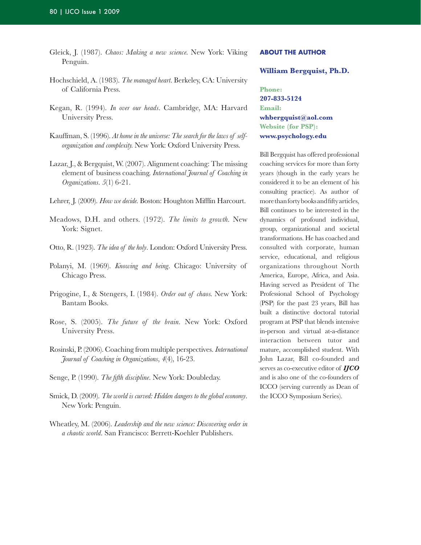- Gleick, J. (1987). *Chaos: Making a new science.* New York: Viking Penguin.
- Hochschield, A. (1983). *The managed heart*. Berkeley, CA: University of California Press.
- Kegan, R. (1994). *In over our heads*. Cambridge, MA: Harvard University Press.
- Kauffman, S. (1996). *At home in the universe: The search for the laws of selforganization and complexity.* New York: Oxford University Press.
- Lazar, J., & Bergquist, W. (2007). Alignment coaching: The missing element of business coaching. *International Journal of Coaching in Organizations. 5*(1) 6-21.
- Lehrer, J. (2009). *How we decide*. Boston: Houghton Mifflin Harcourt.
- Meadows, D.H. and others. (1972). *The limits to growth*. New York: Signet.
- Otto, R. (1923). *The idea of the holy*. London: Oxford University Press.
- Polanyi, M. (1969). *Knowing and being*. Chicago: University of Chicago Press.
- Prigogine, I., & Stengers, I. (1984). *Order out of chaos*. New York: Bantam Books.
- Rose, S. (2005). *The future of the brain.* New York: Oxford University Press.
- Rosinski, P. (2006). Coaching from multiple perspectives. *International Journal of Coaching in Organizations*,  $4(4)$ , 16-23.
- Senge, P. (1990). *The fifth discipline*. New York: Doubleday.
- Smick, D. (2009). *The world is curved: Hidden dangers to the global economy*. New York: Penguin.
- Wheatley, M. (2006). *Leadership and the new science: Discovering order in a chaotic world*. San Francisco: Berrett-Koehler Publishers.

#### **aBout tHE autHor**

**William Bergquist, Ph.D.**

**Phone: 207-833-5124 Email: whbergquist@aol.com Website (for PSP): www.psychology.edu**

Bill Bergquist has offered professional coaching services for more than forty years (though in the early years he considered it to be an element of his consulting practice). As author of morethanfortybooksandfiftyarticles, Bill continues to be interested in the dynamics of profound individual, group, organizational and societal transformations. He has coached and consulted with corporate, human service, educational, and religious organizations throughout North America, Europe, Africa, and Asia. Having served as President of The Professional School of Psychology (PSP) for the past 23 years, Bill has built a distinctive doctoral tutorial program at PSP that blends intensive in-person and virtual at-a-distance interaction between tutor and mature, accomplished student. With John Lazar, Bill co-founded and serves as co-executive editor of *IJCO* and is also one of the co-founders of ICCO (serving currently as Dean of the ICCO Symposium Series).